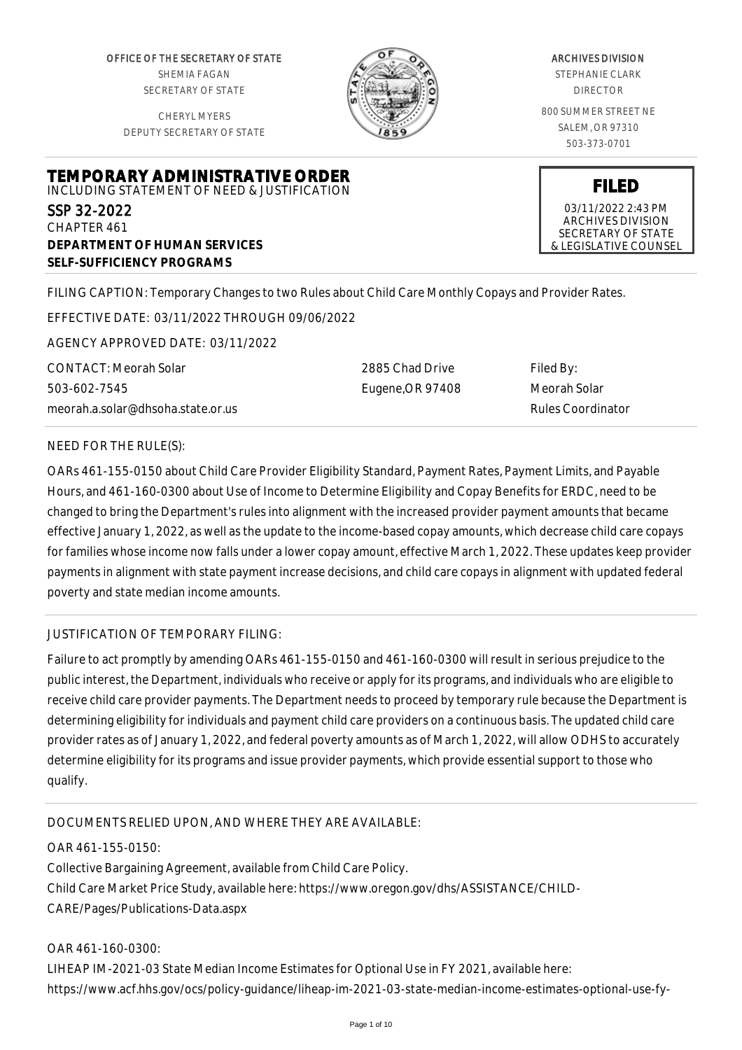OFFICE OF THE SECRETARY OF STATE SHEMIA FAGAN SECRETARY OF STATE

CHERYL MYERS DEPUTY SECRETARY OF STATE

**TEMPORARY ADMINISTRATIVE ORDER** INCLUDING STATEMENT OF NEED & JUSTIFICATION



### ARCHIVES DIVISION

STEPHANIE CLARK DIRECTOR

800 SUMMER STREET NE SALEM, OR 97310 503-373-0701

**FILED**

03/11/2022 2:43 PM ARCHIVES DIVISION SECRETARY OF STATE & LEGISLATIVE COUNSEL

**SELF-SUFFICIENCY PROGRAMS**

FILING CAPTION: Temporary Changes to two Rules about Child Care Monthly Copays and Provider Rates.

EFFECTIVE DATE: 03/11/2022 THROUGH 09/06/2022

AGENCY APPROVED DATE: 03/11/2022

**DEPARTMENT OF HUMAN SERVICES**

CONTACT: Meorah Solar 503-602-7545 meorah.a.solar@dhsoha.state.or.us

2885 Chad Drive Eugene,OR 97408 Filed By: Meorah Solar Rules Coordinator

### NEED FOR THE RULE(S):

SSP 32-2022 CHAPTER 461

OARs 461-155-0150 about Child Care Provider Eligibility Standard, Payment Rates, Payment Limits, and Payable Hours, and 461-160-0300 about Use of Income to Determine Eligibility and Copay Benefits for ERDC, need to be changed to bring the Department's rules into alignment with the increased provider payment amounts that became effective January 1, 2022, as well as the update to the income-based copay amounts, which decrease child care copays for families whose income now falls under a lower copay amount, effective March 1, 2022. These updates keep provider payments in alignment with state payment increase decisions, and child care copays in alignment with updated federal poverty and state median income amounts.

### JUSTIFICATION OF TEMPORARY FILING:

Failure to act promptly by amending OARs 461-155-0150 and 461-160-0300 will result in serious prejudice to the public interest, the Department, individuals who receive or apply for its programs, and individuals who are eligible to receive child care provider payments. The Department needs to proceed by temporary rule because the Department is determining eligibility for individuals and payment child care providers on a continuous basis. The updated child care provider rates as of January 1, 2022, and federal poverty amounts as of March 1, 2022, will allow ODHS to accurately determine eligibility for its programs and issue provider payments, which provide essential support to those who qualify.

DOCUMENTS RELIED UPON, AND WHERE THEY ARE AVAILABLE:

OAR 461-155-0150: Collective Bargaining Agreement, available from Child Care Policy. Child Care Market Price Study, available here: https://www.oregon.gov/dhs/ASSISTANCE/CHILD-CARE/Pages/Publications-Data.aspx

OAR 461-160-0300: LIHEAP IM-2021-03 State Median Income Estimates for Optional Use in FY 2021, available here: https://www.acf.hhs.gov/ocs/policy-guidance/liheap-im-2021-03-state-median-income-estimates-optional-use-fy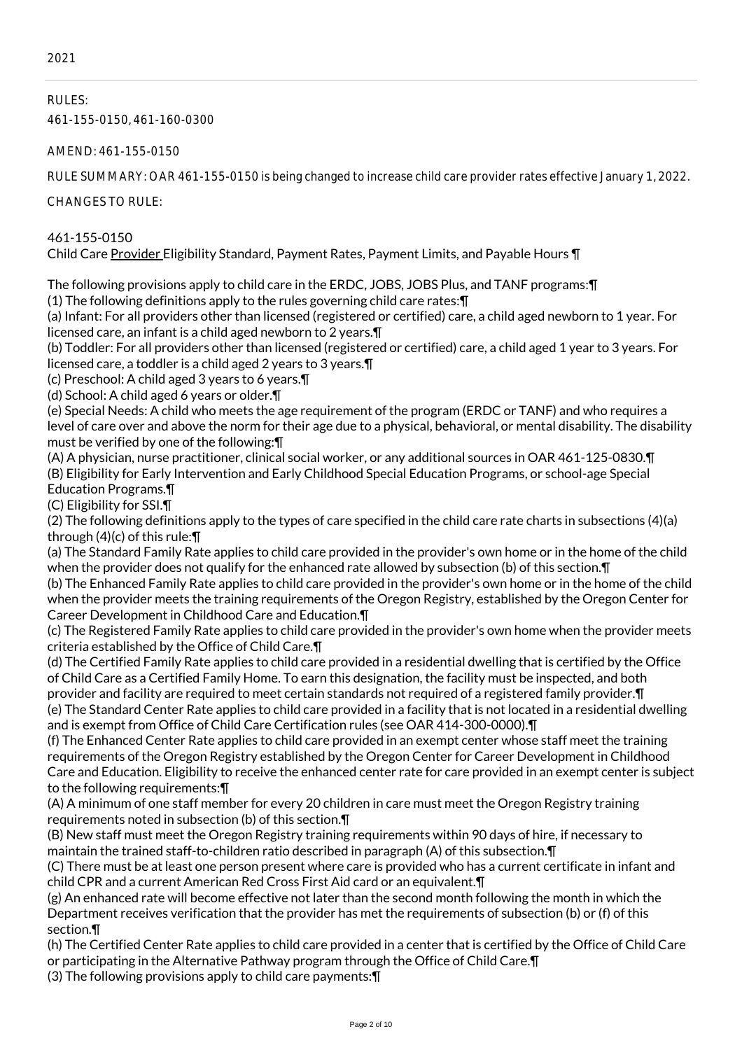RULES: 461-155-0150, 461-160-0300

AMEND: 461-155-0150

RULE SUMMARY: OAR 461-155-0150 is being changed to increase child care provider rates effective January 1, 2022.

CHANGES TO RULE:

461-155-0150 Child Care Provider Eligibility Standard, Payment Rates, Payment Limits, and Payable Hours ¶

The following provisions apply to child care in the ERDC, JOBS, JOBS Plus, and TANF programs:¶ (1) The following definitions apply to the rules governing child care rates:¶

(a) Infant: For all providers other than licensed (registered or certified) care, a child aged newborn to 1 year. For licensed care, an infant is a child aged newborn to 2 years.¶

(b) Toddler: For all providers other than licensed (registered or certified) care, a child aged 1 year to 3 years. For licensed care, a toddler is a child aged 2 years to 3 years.¶

(c) Preschool: A child aged 3 years to 6 years.¶

(d) School: A child aged 6 years or older.¶

(e) Special Needs: A child who meets the age requirement of the program (ERDC or TANF) and who requires a level of care over and above the norm for their age due to a physical, behavioral, or mental disability. The disability must be verified by one of the following:¶

(A) A physician, nurse practitioner, clinical social worker, or any additional sources in OAR 461-125-0830.¶ (B) Eligibility for Early Intervention and Early Childhood Special Education Programs, or school-age Special Education Programs.¶

(C) Eligibility for SSI.¶

(2) The following definitions apply to the types of care specified in the child care rate charts in subsections (4)(a) through (4)(c) of this rule:¶

(a) The Standard Family Rate applies to child care provided in the provider's own home or in the home of the child when the provider does not qualify for the enhanced rate allowed by subsection (b) of this section. In

(b) The Enhanced Family Rate applies to child care provided in the provider's own home or in the home of the child when the provider meets the training requirements of the Oregon Registry, established by the Oregon Center for Career Development in Childhood Care and Education.¶

(c) The Registered Family Rate applies to child care provided in the provider's own home when the provider meets criteria established by the Office of Child Care.¶

(d) The Certified Family Rate applies to child care provided in a residential dwelling that is certified by the Office of Child Care as a Certified Family Home. To earn this designation, the facility must be inspected, and both provider and facility are required to meet certain standards not required of a registered family provider.¶

(e) The Standard Center Rate applies to child care provided in a facility that is not located in a residential dwelling and is exempt from Office of Child Care Certification rules (see OAR 414-300-0000).¶

(f) The Enhanced Center Rate applies to child care provided in an exempt center whose staff meet the training requirements of the Oregon Registry established by the Oregon Center for Career Development in Childhood Care and Education. Eligibility to receive the enhanced center rate for care provided in an exempt center is subject to the following requirements:¶

(A) A minimum of one staff member for every 20 children in care must meet the Oregon Registry training requirements noted in subsection (b) of this section.¶

(B) New staff must meet the Oregon Registry training requirements within 90 days of hire, if necessary to maintain the trained staff-to-children ratio described in paragraph (A) of this subsection.¶

(C) There must be at least one person present where care is provided who has a current certificate in infant and child CPR and a current American Red Cross First Aid card or an equivalent.¶

(g) An enhanced rate will become effective not later than the second month following the month in which the Department receives verification that the provider has met the requirements of subsection (b) or (f) of this section.¶

(h) The Certified Center Rate applies to child care provided in a center that is certified by the Office of Child Care or participating in the Alternative Pathway program through the Office of Child Care.¶

(3) The following provisions apply to child care payments:¶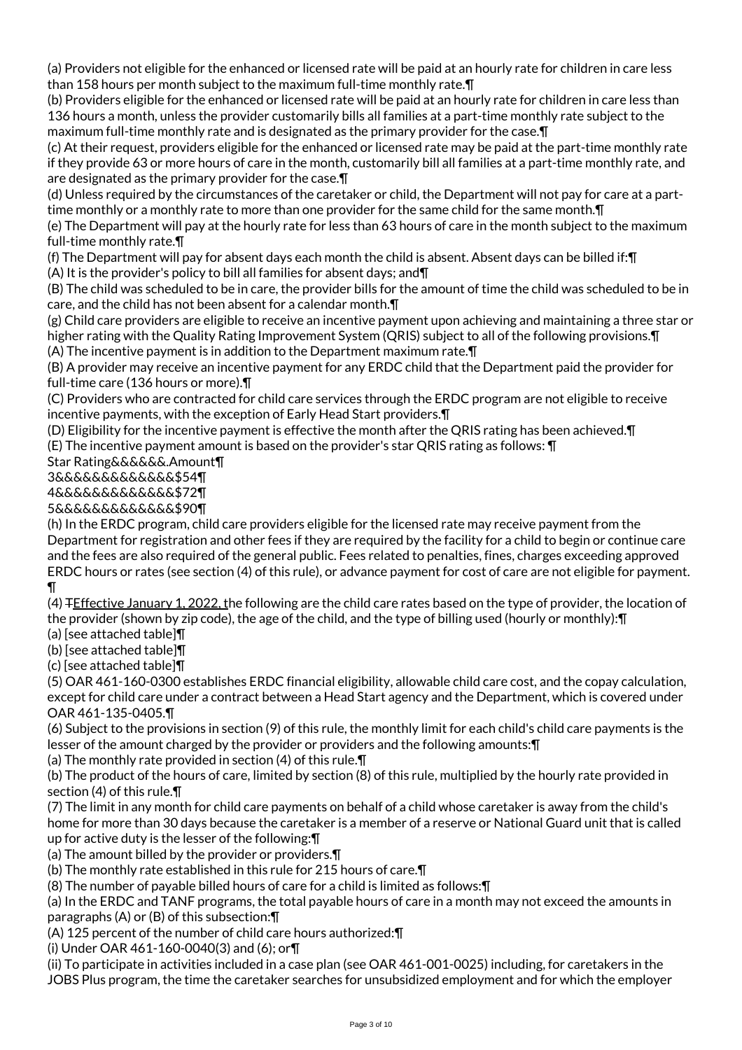(a) Providers not eligible for the enhanced or licensed rate will be paid at an hourly rate for children in care less than 158 hours per month subject to the maximum full-time monthly rate.¶

(b) Providers eligible for the enhanced or licensed rate will be paid at an hourly rate for children in care less than 136 hours a month, unless the provider customarily bills all families at a part-time monthly rate subject to the maximum full-time monthly rate and is designated as the primary provider for the case.¶

(c) At their request, providers eligible for the enhanced or licensed rate may be paid at the part-time monthly rate if they provide 63 or more hours of care in the month, customarily bill all families at a part-time monthly rate, and are designated as the primary provider for the case.¶

(d) Unless required by the circumstances of the caretaker or child, the Department will not pay for care at a parttime monthly or a monthly rate to more than one provider for the same child for the same month. In

(e) The Department will pay at the hourly rate for less than 63 hours of care in the month subject to the maximum full-time monthly rate.¶

(f) The Department will pay for absent days each month the child is absent. Absent days can be billed if:¶

(A) It is the provider's policy to bill all families for absent days; and¶

(B) The child was scheduled to be in care, the provider bills for the amount of time the child was scheduled to be in care, and the child has not been absent for a calendar month.¶

(g) Child care providers are eligible to receive an incentive payment upon achieving and maintaining a three star or higher rating with the Quality Rating Improvement System (QRIS) subject to all of the following provisions.¶ (A) The incentive payment is in addition to the Department maximum rate.¶

(B) A provider may receive an incentive payment for any ERDC child that the Department paid the provider for full-time care (136 hours or more).¶

(C) Providers who are contracted for child care services through the ERDC program are not eligible to receive incentive payments, with the exception of Early Head Start providers.¶

(D) Eligibility for the incentive payment is effective the month after the QRIS rating has been achieved.¶

(E) The incentive payment amount is based on the provider's star QRIS rating as follows: ¶

Star Rating&&&&&&.Amount¶

3&&&&&&&&&&&&&\$54¶

4&&&&&&&&&&&&&\$72¶

5&&&&&&&&&&&&&\$90¶

(h) In the ERDC program, child care providers eligible for the licensed rate may receive payment from the Department for registration and other fees if they are required by the facility for a child to begin or continue care and the fees are also required of the general public. Fees related to penalties, fines, charges exceeding approved ERDC hours or rates (see section (4) of this rule), or advance payment for cost of care are not eligible for payment. ¶

(4) FEffective January 1, 2022, the following are the child care rates based on the type of provider, the location of the provider (shown by zip code), the age of the child, and the type of billing used (hourly or monthly):¶

(a) [see attached table]¶

(b) [see attached table]¶

(c) [see attached table]¶

(5) OAR 461-160-0300 establishes ERDC financial eligibility, allowable child care cost, and the copay calculation, except for child care under a contract between a Head Start agency and the Department, which is covered under OAR 461-135-0405.¶

(6) Subject to the provisions in section (9) of this rule, the monthly limit for each child's child care payments is the lesser of the amount charged by the provider or providers and the following amounts:¶

(a) The monthly rate provided in section (4) of this rule.¶

(b) The product of the hours of care, limited by section (8) of this rule, multiplied by the hourly rate provided in section (4) of this rule.¶

(7) The limit in any month for child care payments on behalf of a child whose caretaker is away from the child's home for more than 30 days because the caretaker is a member of a reserve or National Guard unit that is called up for active duty is the lesser of the following:¶

(a) The amount billed by the provider or providers.¶

(b) The monthly rate established in this rule for 215 hours of care.¶

(8) The number of payable billed hours of care for a child is limited as follows:¶

(a) In the ERDC and TANF programs, the total payable hours of care in a month may not exceed the amounts in paragraphs (A) or (B) of this subsection:¶

(A) 125 percent of the number of child care hours authorized:¶

(i) Under OAR 461-160-0040(3) and (6); or¶

(ii) To participate in activities included in a case plan (see OAR 461-001-0025) including, for caretakers in the JOBS Plus program, the time the caretaker searches for unsubsidized employment and for which the employer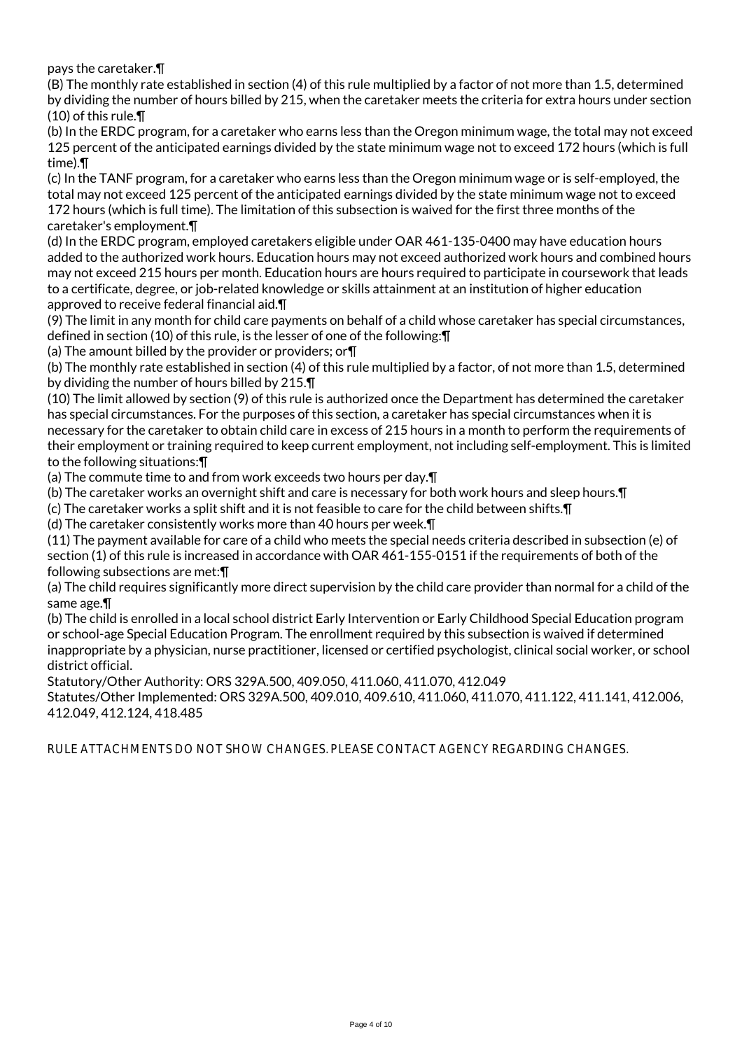pays the caretaker.¶

(B) The monthly rate established in section (4) of this rule multiplied by a factor of not more than 1.5, determined by dividing the number of hours billed by 215, when the caretaker meets the criteria for extra hours under section (10) of this rule.¶

(b) In the ERDC program, for a caretaker who earns less than the Oregon minimum wage, the total may not exceed 125 percent of the anticipated earnings divided by the state minimum wage not to exceed 172 hours (which is full time).¶

(c) In the TANF program, for a caretaker who earns less than the Oregon minimum wage or is self-employed, the total may not exceed 125 percent of the anticipated earnings divided by the state minimum wage not to exceed 172 hours (which is full time). The limitation of this subsection is waived for the first three months of the caretaker's employment.¶

(d) In the ERDC program, employed caretakers eligible under OAR 461-135-0400 may have education hours added to the authorized work hours. Education hours may not exceed authorized work hours and combined hours may not exceed 215 hours per month. Education hours are hours required to participate in coursework that leads to a certificate, degree, or job-related knowledge or skills attainment at an institution of higher education approved to receive federal financial aid.¶

(9) The limit in any month for child care payments on behalf of a child whose caretaker has special circumstances, defined in section (10) of this rule, is the lesser of one of the following:¶

(a) The amount billed by the provider or providers; or¶

(b) The monthly rate established in section (4) of this rule multiplied by a factor, of not more than 1.5, determined by dividing the number of hours billed by 215.¶

(10) The limit allowed by section (9) of this rule is authorized once the Department has determined the caretaker has special circumstances. For the purposes of this section, a caretaker has special circumstances when it is necessary for the caretaker to obtain child care in excess of 215 hours in a month to perform the requirements of their employment or training required to keep current employment, not including self-employment. This is limited to the following situations:¶

(a) The commute time to and from work exceeds two hours per day.¶

(b) The caretaker works an overnight shift and care is necessary for both work hours and sleep hours.¶

(c) The caretaker works a split shift and it is not feasible to care for the child between shifts.¶

(d) The caretaker consistently works more than 40 hours per week.¶

(11) The payment available for care of a child who meets the special needs criteria described in subsection (e) of section (1) of this rule is increased in accordance with OAR 461-155-0151 if the requirements of both of the following subsections are met:¶

(a) The child requires significantly more direct supervision by the child care provider than normal for a child of the same age.¶

(b) The child is enrolled in a local school district Early Intervention or Early Childhood Special Education program or school-age Special Education Program. The enrollment required by this subsection is waived if determined inappropriate by a physician, nurse practitioner, licensed or certified psychologist, clinical social worker, or school district official.

Statutory/Other Authority: ORS 329A.500, 409.050, 411.060, 411.070, 412.049

Statutes/Other Implemented: ORS 329A.500, 409.010, 409.610, 411.060, 411.070, 411.122, 411.141, 412.006, 412.049, 412.124, 418.485

RULE ATTACHMENTS DO NOT SHOW CHANGES. PLEASE CONTACT AGENCY REGARDING CHANGES.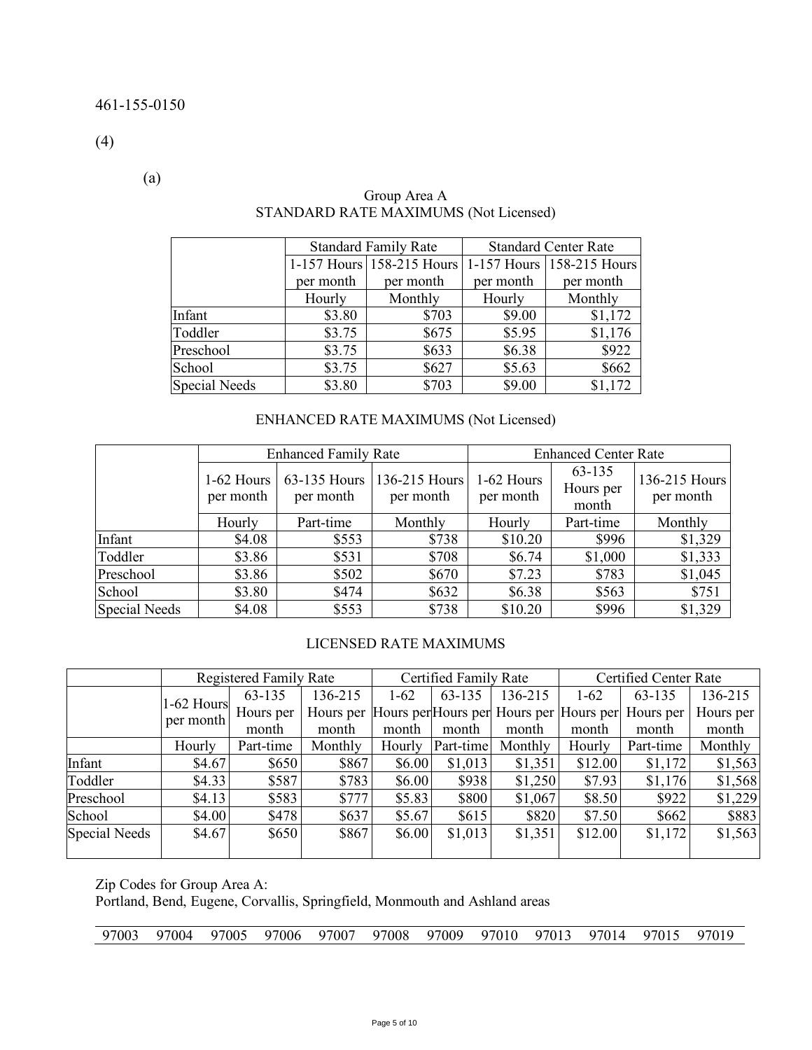(4)

(a)

|                      |           | <b>Standard Family Rate</b>                         | <b>Standard Center Rate</b> |           |  |
|----------------------|-----------|-----------------------------------------------------|-----------------------------|-----------|--|
|                      |           | 1-157 Hours 158-215 Hours 1-157 Hours 158-215 Hours |                             |           |  |
|                      | per month | per month                                           | per month                   | per month |  |
|                      | Hourly    | Monthly                                             | Hourly                      | Monthly   |  |
| Infant               | \$3.80    | \$703                                               | \$9.00                      | \$1,172   |  |
| Toddler              | \$3.75    | \$675                                               | \$5.95                      | \$1,176   |  |
| Preschool            | \$3.75    | \$633                                               | \$6.38                      | \$922     |  |
| School               | \$3.75    | \$627                                               | \$5.63                      | \$662     |  |
| <b>Special Needs</b> | \$3.80    | \$703                                               | \$9.00                      | \$1,172   |  |

## Group Area A STANDARD RATE MAXIMUMS (Not Licensed)

## ENHANCED RATE MAXIMUMS (Not Licensed)

|               |                         | <b>Enhanced Family Rate</b> |                            | <b>Enhanced Center Rate</b> |                              |                            |  |
|---------------|-------------------------|-----------------------------|----------------------------|-----------------------------|------------------------------|----------------------------|--|
|               | 1-62 Hours<br>per month | 63-135 Hours<br>per month   | 136-215 Hours<br>per month | 1-62 Hours<br>per month     | 63-135<br>Hours per<br>month | 136-215 Hours<br>per month |  |
|               | Hourly                  | Part-time                   | Monthly                    | Hourly                      | Part-time                    | Monthly                    |  |
| Infant        | \$4.08                  | \$553                       | \$738                      | \$10.20                     | \$996                        | \$1,329                    |  |
| Toddler       | \$3.86                  | \$531                       | \$708                      | \$6.74                      | \$1,000                      | \$1,333                    |  |
| Preschool     | \$3.86                  | \$502                       | \$670                      | \$7.23                      | \$783                        | \$1,045                    |  |
| School        | \$3.80                  | \$474                       | \$632                      | \$6.38                      | \$563                        | \$751                      |  |
| Special Needs | \$4.08                  | \$553                       | \$738                      | \$10.20                     | \$996                        | \$1,329                    |  |

## LICENSED RATE MAXIMUMS

|                      |            | <b>Registered Family Rate</b> |         |          | Certified Family Rate |         | Certified Center Rate |                                                             |           |
|----------------------|------------|-------------------------------|---------|----------|-----------------------|---------|-----------------------|-------------------------------------------------------------|-----------|
|                      | 1-62 Hours | 63-135                        | 136-215 | $1 - 62$ | 63-135                | 136-215 | $1-62$                | 63-135                                                      | 136-215   |
|                      | per month  | Hours per                     |         |          |                       |         |                       | Hours per Hours per Hours per Hours per Hours per Hours per | Hours per |
|                      |            | month                         | month   | month    | month                 | month   | month                 | month                                                       | month     |
|                      | Hourly     | Part-time                     | Monthly | Hourly   | Part-time             | Monthly | Hourly                | Part-time                                                   | Monthly   |
| Infant               | \$4.67     | \$650                         | \$867   | \$6.00   | \$1,013               | \$1,351 | \$12.00               | \$1,172                                                     | \$1,563   |
| Toddler              | \$4.33     | \$587                         | \$783   | \$6.00   | \$938                 | \$1,250 | \$7.93                | \$1,176                                                     | \$1,568   |
| Preschool            | \$4.13     | \$583                         | \$777   | \$5.83   | \$800                 | \$1,067 | \$8.50                | \$922                                                       | \$1,229   |
| School               | \$4.00     | \$478                         | \$637   | \$5.67   | \$615                 | \$820   | \$7.50                | \$662                                                       | \$883     |
| <b>Special Needs</b> | \$4.67     | \$650                         | \$867   | \$6.00   | \$1,013               | \$1,351 | \$12.00               | \$1,172                                                     | \$1,563   |
|                      |            |                               |         |          |                       |         |                       |                                                             |           |

Zip Codes for Group Area A:

Portland, Bend, Eugene, Corvallis, Springfield, Monmouth and Ashland areas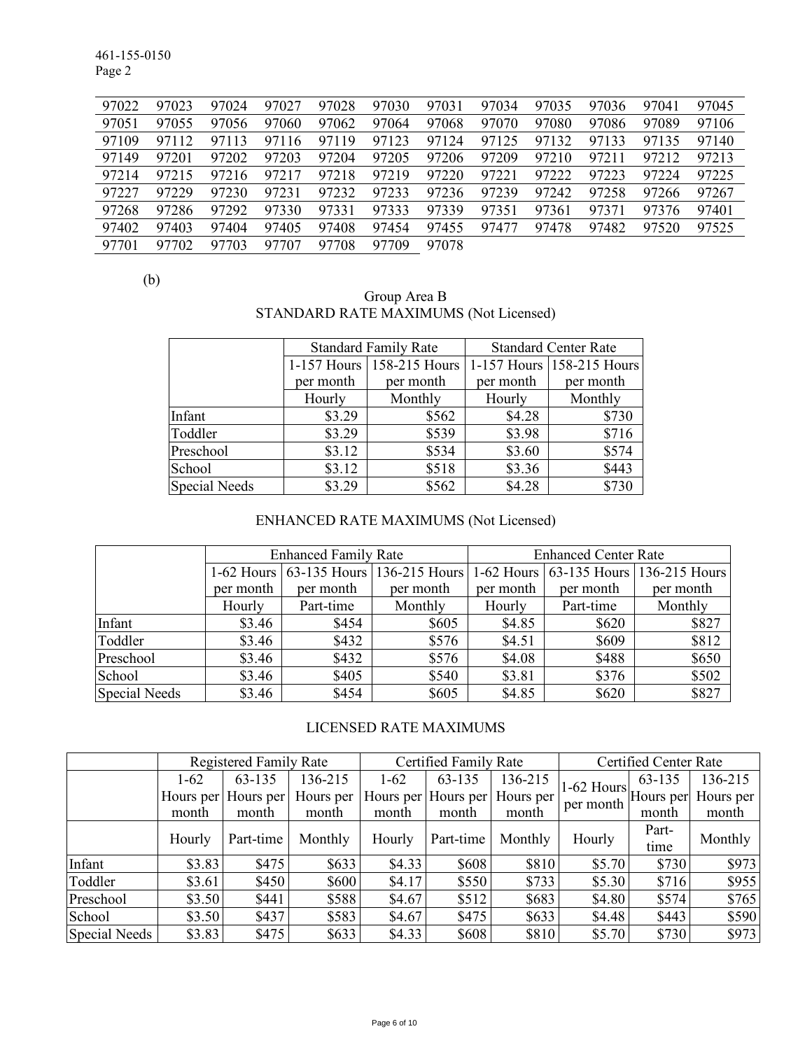461-155-0150 Page 2

| 97022 | 97023 | 97024     | 97027 | 97028 | 97030 | 97031 | 97034 | 97035 | 97036 | 97041 | 97045 |
|-------|-------|-----------|-------|-------|-------|-------|-------|-------|-------|-------|-------|
| 97051 | 97055 | 97056     | 97060 | 97062 | 97064 | 97068 | 97070 | 97080 | 97086 | 97089 | 97106 |
| 97109 | 97112 | 97113     | 97116 | 97119 | 97123 | 97124 | 97125 | 97132 | 97133 | 97135 | 97140 |
| 97149 | 97201 | 97202     | 97203 | 97204 | 97205 | 97206 | 97209 | 97210 | 97211 | 97212 | 97213 |
| 97214 | 97215 | 97216     | 97217 | 97218 | 97219 | 97220 | 97221 | 97222 | 97223 | 97224 | 97225 |
| 97227 | 97229 | 97230     | 97231 | 97232 | 97233 | 97236 | 97239 | 97242 | 97258 | 97266 | 97267 |
| 97268 | 97286 | 97292     | 97330 | 97331 | 97333 | 97339 | 97351 | 97361 | 97371 | 97376 | 97401 |
| 97402 | 97403 | 97404     | 97405 | 97408 | 97454 | 97455 | 97477 | 97478 | 97482 | 97520 | 97525 |
| 97701 | 97702 | 703<br>97 | 97707 | 97708 | 97709 | 97078 |       |       |       |       |       |

(b)

| Group Area B                          |  |
|---------------------------------------|--|
| STANDARD RATE MAXIMUMS (Not Licensed) |  |

|                      |           | <b>Standard Family Rate</b> | <b>Standard Center Rate</b> |                           |  |
|----------------------|-----------|-----------------------------|-----------------------------|---------------------------|--|
|                      |           | 1-157 Hours 158-215 Hours   |                             | 1-157 Hours 158-215 Hours |  |
|                      | per month | per month                   | per month                   | per month                 |  |
|                      | Hourly    | Monthly                     | Hourly                      | Monthly                   |  |
| Infant               | \$3.29    | \$562                       | \$4.28                      | \$730                     |  |
| Toddler              | \$3.29    | \$539                       | \$3.98                      | \$716                     |  |
| Preschool            | \$3.12    | \$534                       | \$3.60                      | \$574                     |  |
| School               | \$3.12    | \$518                       | \$3.36                      | \$443                     |  |
| <b>Special Needs</b> | \$3.29    | \$562                       | \$4.28                      | \$730                     |  |

# ENHANCED RATE MAXIMUMS (Not Licensed)

|                      |           | <b>Enhanced Family Rate</b> |                                       | <b>Enhanced Center Rate</b> |           |                                       |  |  |
|----------------------|-----------|-----------------------------|---------------------------------------|-----------------------------|-----------|---------------------------------------|--|--|
|                      |           |                             | 1-62 Hours 63-135 Hours 136-215 Hours |                             |           | 1-62 Hours 63-135 Hours 136-215 Hours |  |  |
|                      | per month | per month                   | per month                             | per month                   | per month | per month                             |  |  |
|                      | Hourly    | Part-time                   | Monthly                               | Hourly                      | Part-time | Monthly                               |  |  |
| Infant               | \$3.46    | \$454                       | \$605                                 | \$4.85                      | \$620     | \$827                                 |  |  |
| Toddler              | \$3.46    | \$432                       | \$576                                 | \$4.51                      | \$609     | \$812                                 |  |  |
| Preschool            | \$3.46    | \$432                       | \$576                                 | \$4.08                      | \$488     | \$650                                 |  |  |
| School               | \$3.46    | \$405                       | \$540                                 | \$3.81                      | \$376     | \$502                                 |  |  |
| <b>Special Needs</b> | \$3.46    | \$454                       | \$605                                 | \$4.85                      | \$620     | \$827                                 |  |  |

# LICENSED RATE MAXIMUMS

|               |          | <b>Registered Family Rate</b> |           |        | Certified Family Rate |           | Certified Center Rate                           |        |           |
|---------------|----------|-------------------------------|-----------|--------|-----------------------|-----------|-------------------------------------------------|--------|-----------|
|               | $1 - 62$ | 63-135                        | 136-215   | $1-62$ | 63-135                | 136-215   |                                                 | 63-135 | 136-215   |
|               |          | Hours per Hours per           | Hours per |        | Hours per Hours per   | Hours per | $1-62$ Hours $\mu$ Hours per $\mu$<br>per month |        | Hours per |
|               | month    | month                         | month     | month  | month                 | month     |                                                 | month  | month     |
|               | Hourly   | Part-time                     | Monthly   | Hourly | Part-time             | Monthly   | Hourly                                          | Part-  | Monthly   |
|               |          |                               |           |        |                       |           |                                                 | time   |           |
| Infant        | \$3.83   | \$475                         | \$633     | \$4.33 | \$608                 | \$810     | \$5.70                                          | \$730  | \$973     |
| Toddler       | \$3.61   | \$450                         | \$600     | \$4.17 | \$550                 | \$733     | \$5.30                                          | \$716  | \$955     |
| Preschool     | \$3.50   | \$441                         | \$588     | \$4.67 | \$512                 | \$683     | \$4.80                                          | \$574  | \$765     |
| School        | \$3.50   | \$437                         | \$583     | \$4.67 | \$475                 | \$633     | \$4.48                                          | \$443  | \$590     |
| Special Needs | \$3.83   | \$475                         | \$633     | \$4.33 | \$608                 | \$810     | \$5.70                                          | \$730  | \$973     |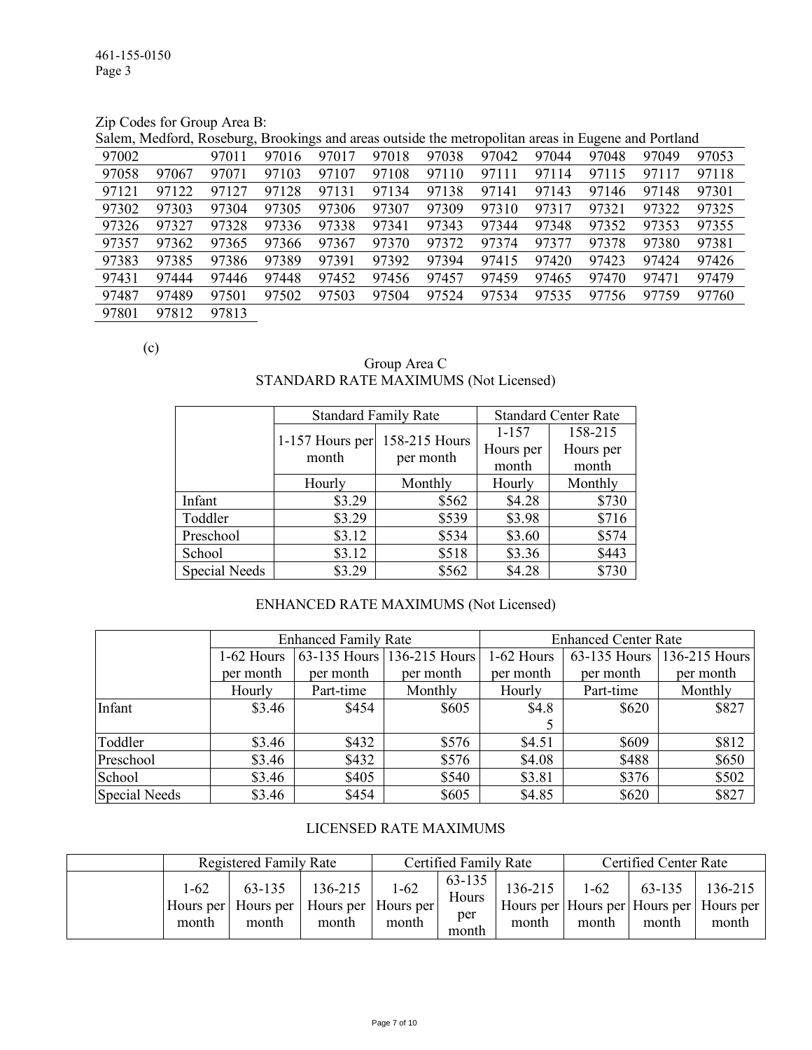Zip Codes for Group Area B:

Salem, Medford, Roseburg, Brookings and areas outside the metropolitan areas in Eugene and Portland

| 97002 |       | 97011 | 97016 | 97017 | 97018 | 97038 | 97042 | 97044 | 97048 | 97049 | 97053 |
|-------|-------|-------|-------|-------|-------|-------|-------|-------|-------|-------|-------|
| 97058 | 97067 | 97071 | 97103 | 97107 | 97108 | 97110 | 97111 | 97114 | 97115 | 97117 | 97118 |
| 97121 | 97122 | 97127 | 97128 | 97131 | 97134 | 97138 | 97141 | 97143 | 97146 | 97148 | 97301 |
| 97302 | 97303 | 97304 | 97305 | 97306 | 97307 | 97309 | 97310 | 97317 | 97321 | 97322 | 97325 |
| 97326 | 97327 | 97328 | 97336 | 97338 | 97341 | 97343 | 97344 | 97348 | 97352 | 97353 | 97355 |
| 97357 | 97362 | 97365 | 97366 | 97367 | 97370 | 97372 | 97374 | 97377 | 97378 | 97380 | 97381 |
| 97383 | 97385 | 97386 | 97389 | 97391 | 97392 | 97394 | 97415 | 97420 | 97423 | 97424 | 97426 |
| 97431 | 97444 | 97446 | 97448 | 97452 | 97456 | 97457 | 97459 | 97465 | 97470 | 97471 | 97479 |
| 97487 | 97489 | 97501 | 97502 | 97503 | 97504 | 97524 | 97534 | 97535 | 97756 | 97759 | 97760 |
| 97801 | 97812 | 97813 |       |       |       |       |       |       |       |       |       |

(c)

Group Area C STANDARD RATE MAXIMUMS (Not Licensed)

|               | <b>Standard Family Rate</b> |               | <b>Standard Center Rate</b> |           |  |
|---------------|-----------------------------|---------------|-----------------------------|-----------|--|
|               |                             | 158-215 Hours | $1 - 157$                   | 158-215   |  |
|               | 1-157 Hours per<br>month    |               | Hours per                   | Hours per |  |
|               |                             | per month     | month                       | month     |  |
|               | Hourly                      | Monthly       | Hourly                      | Monthly   |  |
| Infant        | \$3.29                      | \$562         | \$4.28                      | \$730     |  |
| Toddler       | \$3.29                      | \$539         | \$3.98                      | \$716     |  |
| Preschool     | \$3.12                      | \$534         | \$3.60                      | \$574     |  |
| School        | \$3.12                      | \$518         | \$3.36                      | \$443     |  |
| Special Needs | \$3.29                      | \$562         | \$4.28                      | \$730     |  |

## ENHANCED RATE MAXIMUMS (Not Licensed)

|               |            | <b>Enhanced Family Rate</b> |                            | <b>Enhanced Center Rate</b> |           |                            |  |  |
|---------------|------------|-----------------------------|----------------------------|-----------------------------|-----------|----------------------------|--|--|
|               | 1-62 Hours |                             | 63-135 Hours 136-215 Hours | 1-62 Hours                  |           | 63-135 Hours 136-215 Hours |  |  |
|               | per month  | per month                   | per month                  | per month                   | per month | per month                  |  |  |
|               | Hourly     | Part-time                   | Monthly                    | Hourly                      | Part-time | Monthly                    |  |  |
| Infant        | \$3.46     | \$454                       | \$605                      | \$4.8                       | \$620     | \$827                      |  |  |
|               |            |                             |                            |                             |           |                            |  |  |
| Toddler       | \$3.46     | \$432                       | \$576                      | \$4.51                      | \$609     | \$812                      |  |  |
| Preschool     | \$3.46     | \$432                       | \$576                      | \$4.08                      | \$488     | \$650                      |  |  |
| School        | \$3.46     | \$405                       | \$540                      | \$3.81                      | \$376     | \$502                      |  |  |
| Special Needs | \$3.46     | \$454                       | \$605                      | \$4.85                      | \$620     | \$827                      |  |  |

### LICENSED RATE MAXIMUMS

|               | Registered Family Rate                                             |                  | Certified Family Rate |                                 |                  | <b>Certified Center Rate</b> |                 |                                                             |  |
|---------------|--------------------------------------------------------------------|------------------|-----------------------|---------------------------------|------------------|------------------------------|-----------------|-------------------------------------------------------------|--|
| 1-62<br>month | 63-135<br>Hours per   Hours per   Hours per   Hours per  <br>month | 136-215<br>month | $1-62$<br>month       | 63-135<br>Hours<br>per<br>month | 136-215<br>month | $1-62$<br>month              | 63-135<br>month | 136-215<br>Hours per Hours per Hours per Hours per<br>month |  |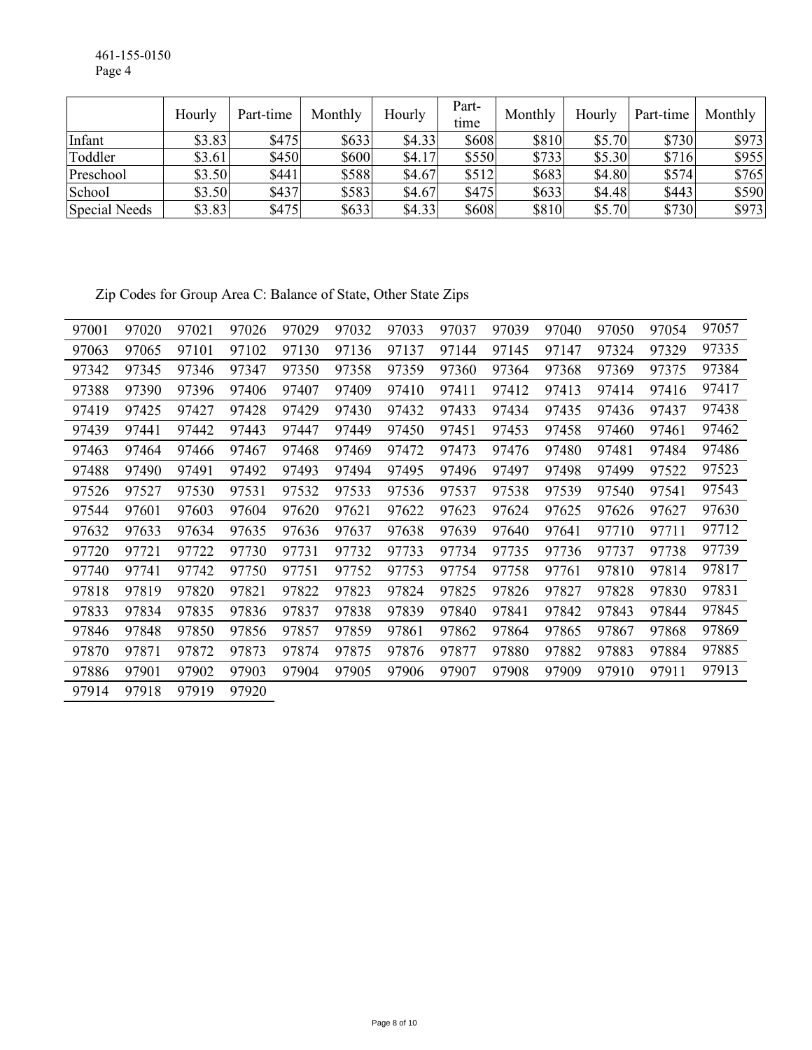461-155-0150 Page 4

|               | Hourly | Part-time | Monthly | Hourly | Part-<br>time | Monthly | Hourly | Part-time | Monthly |
|---------------|--------|-----------|---------|--------|---------------|---------|--------|-----------|---------|
| Infant        | \$3.83 | \$475     | \$633   | \$4.33 | \$608         | \$810   | \$5.70 | \$730     | \$973   |
| Toddler       | \$3.61 | \$450     | \$600   | \$4.17 | \$550         | \$733   | \$5.30 | \$716     | \$955   |
| Preschool     | \$3.50 | \$441     | \$588   | \$4.67 | \$512         | \$683   | \$4.80 | \$574     | \$765   |
| School        | \$3.50 | \$437     | \$583   | \$4.67 | \$475         | \$633   | \$4.48 | \$443     | \$590   |
| Special Needs | \$3.83 | \$475     | \$633   | \$4.33 | \$608         | \$810   | \$5.70 | \$730     | \$973   |

Zip Codes for Group Area C: Balance of State, Other State Zips

| 97001 | 97020 | 97021 | 97026 | 97029 | 97032 | 97033 | 97037 | 97039 | 97040 | 97050 | 97054 | 97057 |
|-------|-------|-------|-------|-------|-------|-------|-------|-------|-------|-------|-------|-------|
| 97063 | 97065 | 97101 | 97102 | 97130 | 97136 | 97137 | 97144 | 97145 | 97147 | 97324 | 97329 | 97335 |
| 97342 | 97345 | 97346 | 97347 | 97350 | 97358 | 97359 | 97360 | 97364 | 97368 | 97369 | 97375 | 97384 |
| 97388 | 97390 | 97396 | 97406 | 97407 | 97409 | 97410 | 97411 | 97412 | 97413 | 97414 | 97416 | 97417 |
| 97419 | 97425 | 97427 | 97428 | 97429 | 97430 | 97432 | 97433 | 97434 | 97435 | 97436 | 97437 | 97438 |
| 97439 | 97441 | 97442 | 97443 | 97447 | 97449 | 97450 | 97451 | 97453 | 97458 | 97460 | 97461 | 97462 |
| 97463 | 97464 | 97466 | 97467 | 97468 | 97469 | 97472 | 97473 | 97476 | 97480 | 97481 | 97484 | 97486 |
| 97488 | 97490 | 97491 | 97492 | 97493 | 97494 | 97495 | 97496 | 97497 | 97498 | 97499 | 97522 | 97523 |
| 97526 | 97527 | 97530 | 97531 | 97532 | 97533 | 97536 | 97537 | 97538 | 97539 | 97540 | 97541 | 97543 |
| 97544 | 97601 | 97603 | 97604 | 97620 | 97621 | 97622 | 97623 | 97624 | 97625 | 97626 | 97627 | 97630 |
| 97632 | 97633 | 97634 | 97635 | 97636 | 97637 | 97638 | 97639 | 97640 | 97641 | 97710 | 97711 | 97712 |
| 97720 | 97721 | 97722 | 97730 | 97731 | 97732 | 97733 | 97734 | 97735 | 97736 | 97737 | 97738 | 97739 |
| 97740 | 97741 | 97742 | 97750 | 97751 | 97752 | 97753 | 97754 | 97758 | 97761 | 97810 | 97814 | 97817 |
| 97818 | 97819 | 97820 | 97821 | 97822 | 97823 | 97824 | 97825 | 97826 | 97827 | 97828 | 97830 | 97831 |
| 97833 | 97834 | 97835 | 97836 | 97837 | 97838 | 97839 | 97840 | 97841 | 97842 | 97843 | 97844 | 97845 |
| 97846 | 97848 | 97850 | 97856 | 97857 | 97859 | 97861 | 97862 | 97864 | 97865 | 97867 | 97868 | 97869 |
| 97870 | 97871 | 97872 | 97873 | 97874 | 97875 | 97876 | 97877 | 97880 | 97882 | 97883 | 97884 | 97885 |
| 97886 | 97901 | 97902 | 97903 | 97904 | 97905 | 97906 | 97907 | 97908 | 97909 | 97910 | 97911 | 97913 |
| 97914 | 97918 | 97919 | 97920 |       |       |       |       |       |       |       |       |       |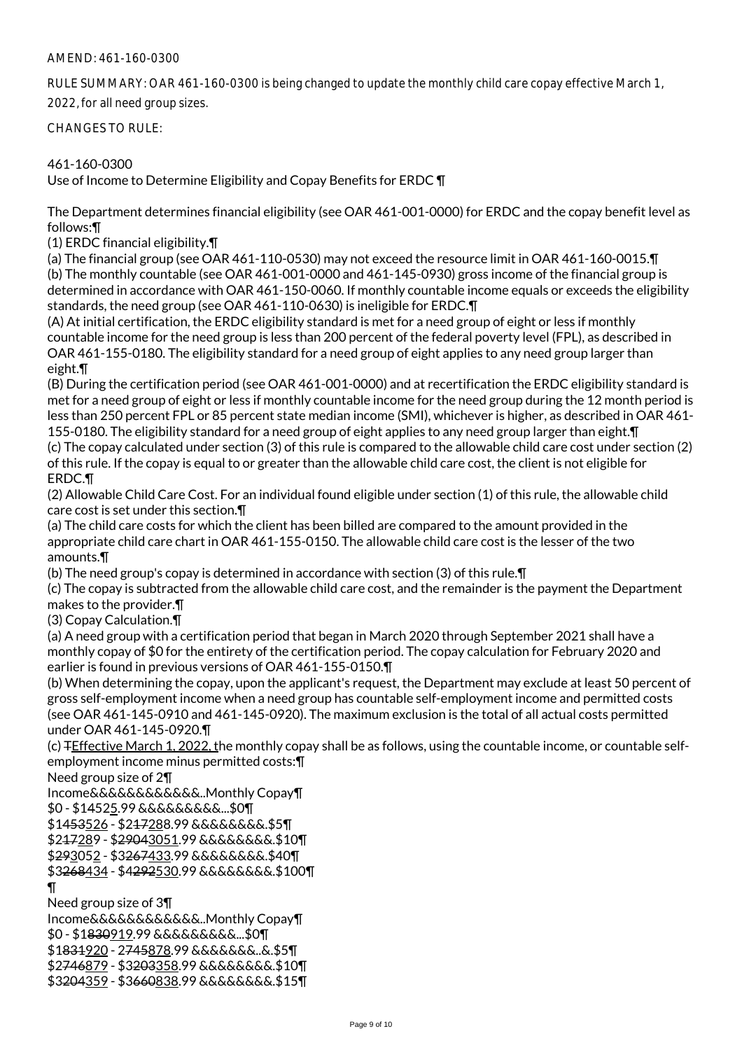### AMEND: 461-160-0300

RULE SUMMARY: OAR 461-160-0300 is being changed to update the monthly child care copay effective March 1,

2022, for all need group sizes.

CHANGES TO RULE:

### 461-160-0300

Use of Income to Determine Eligibility and Copay Benefits for ERDC ¶

The Department determines financial eligibility (see OAR 461-001-0000) for ERDC and the copay benefit level as follows:¶

(1) ERDC financial eligibility.¶

(a) The financial group (see OAR 461-110-0530) may not exceed the resource limit in OAR 461-160-0015.¶ (b) The monthly countable (see OAR 461-001-0000 and 461-145-0930) gross income of the financial group is determined in accordance with OAR 461-150-0060. If monthly countable income equals or exceeds the eligibility standards, the need group (see OAR 461-110-0630) is ineligible for ERDC.¶

(A) At initial certification, the ERDC eligibility standard is met for a need group of eight or less if monthly countable income for the need group is less than 200 percent of the federal poverty level (FPL), as described in OAR 461-155-0180. The eligibility standard for a need group of eight applies to any need group larger than eight.¶

(B) During the certification period (see OAR 461-001-0000) and at recertification the ERDC eligibility standard is met for a need group of eight or less if monthly countable income for the need group during the 12 month period is less than 250 percent FPL or 85 percent state median income (SMI), whichever is higher, as described in OAR 461- 155-0180. The eligibility standard for a need group of eight applies to any need group larger than eight.¶ (c) The copay calculated under section (3) of this rule is compared to the allowable child care cost under section (2) of this rule. If the copay is equal to or greater than the allowable child care cost, the client is not eligible for ERDC.¶

(2) Allowable Child Care Cost. For an individual found eligible under section (1) of this rule, the allowable child care cost is set under this section.¶

(a) The child care costs for which the client has been billed are compared to the amount provided in the appropriate child care chart in OAR 461-155-0150. The allowable child care cost is the lesser of the two amounts.¶

(b) The need group's copay is determined in accordance with section (3) of this rule.¶

(c) The copay is subtracted from the allowable child care cost, and the remainder is the payment the Department makes to the provider.¶

(3) Copay Calculation.¶

(a) A need group with a certification period that began in March 2020 through September 2021 shall have a monthly copay of \$0 for the entirety of the certification period. The copay calculation for February 2020 and earlier is found in previous versions of OAR 461-155-0150.¶

(b) When determining the copay, upon the applicant's request, the Department may exclude at least 50 percent of gross self-employment income when a need group has countable self-employment income and permitted costs (see OAR 461-145-0910 and 461-145-0920). The maximum exclusion is the total of all actual costs permitted under OAR 461-145-0920.¶

(c) TEffective March 1, 2022, the monthly copay shall be as follows, using the countable income, or countable selfemployment income minus permitted costs:¶

Need group size of 2¶

Income&&&&&&&&&&&&..Monthly Copay¶

\$0 - \$14525.99 &&&&&&&&&...\$0¶

\$1453526 - \$217288.99 &&&&&&&&.\$5¶

\$217289 - \$29043051.99 &&&&&&&&.\$10¶

\$293052 - \$3267433.99 &&&&&&&&.\$40¶

\$3268434 - \$4292530.99 &&&&&&&&.\$100¶

¶

Need group size of 3¶

Income&&&&&&&&&&&&..Monthly Copay¶ \$0 - \$1830919.99 &&&&&&&&&...\$0¶ \$1831920 - 2745878.99 &&&&&&&..&.\$5¶ \$2746879 - \$3203358.99 &&&&&&&&.\$10¶ \$3204359 - \$3660838.99 &&&&&&&&.\$15¶